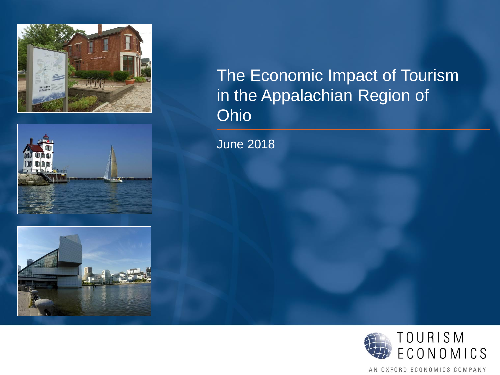





# The Economic Impact of Tourism in the Appalachian Region of Ohio

June 2018



AN OXFORD ECONOMICS COMPANY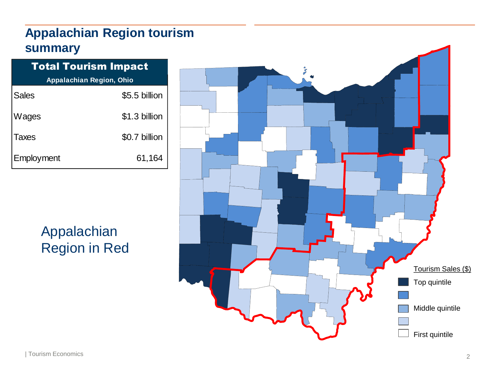## **Appalachian Region tourism summary**

| <b>Total Tourism Impact</b> |                                 |  |  |  |  |
|-----------------------------|---------------------------------|--|--|--|--|
|                             | <b>Appalachian Region, Ohio</b> |  |  |  |  |
| <b>Sales</b>                | \$5.5 billion                   |  |  |  |  |
| Wages                       | \$1.3 billion                   |  |  |  |  |
| <b>Taxes</b>                | \$0.7 billion                   |  |  |  |  |
| Employment                  | 61,164                          |  |  |  |  |
|                             |                                 |  |  |  |  |

Appalachian Region in Red

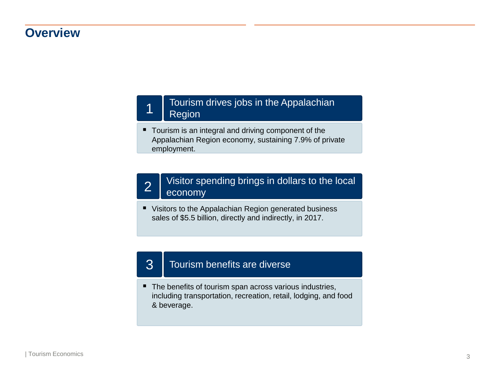#### **Overview**

#### Tourism drives jobs in the Appalachian **Region**

■ Tourism is an integral and driving component of the Appalachian Region economy, sustaining 7.9% of private employment.

#### Visitor spending brings in dollars to the local  $2 \mid \frac{\text{VISION } \text{sp}}{\text{economy}}$

■ Visitors to the Appalachian Region generated business sales of \$5.5 billion, directly and indirectly, in 2017.

#### 3 | Tourism benefits are diverse

■ The benefits of tourism span across various industries, including transportation, recreation, retail, lodging, and food & beverage.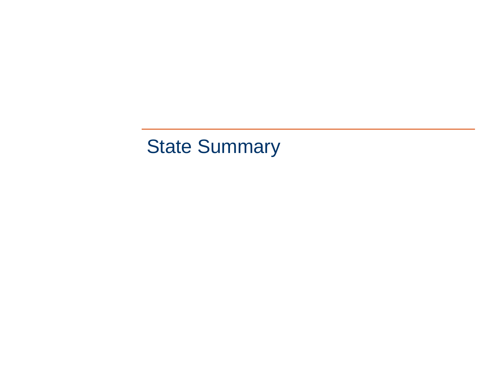# State Summary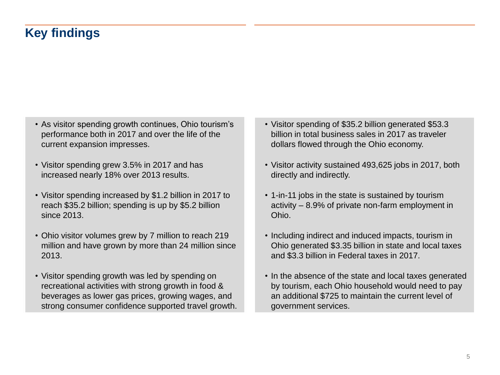## **Key findings**

- As visitor spending growth continues, Ohio tourism's performance both in 2017 and over the life of the current expansion impresses.
- Visitor spending grew 3.5% in 2017 and has increased nearly 18% over 2013 results.
- Visitor spending increased by \$1.2 billion in 2017 to reach \$35.2 billion; spending is up by \$5.2 billion since 2013.
- Ohio visitor volumes grew by 7 million to reach 219 million and have grown by more than 24 million since 2013.
- Visitor spending growth was led by spending on recreational activities with strong growth in food & beverages as lower gas prices, growing wages, and strong consumer confidence supported travel growth.
- Visitor spending of \$35.2 billion generated \$53.3 billion in total business sales in 2017 as traveler dollars flowed through the Ohio economy.
- Visitor activity sustained 493,625 jobs in 2017, both directly and indirectly.
- 1-in-11 jobs in the state is sustained by tourism activity – 8.9% of private non-farm employment in Ohio.
- Including indirect and induced impacts, tourism in Ohio generated \$3.35 billion in state and local taxes and \$3.3 billion in Federal taxes in 2017.
- In the absence of the state and local taxes generated by tourism, each Ohio household would need to pay an additional \$725 to maintain the current level of government services.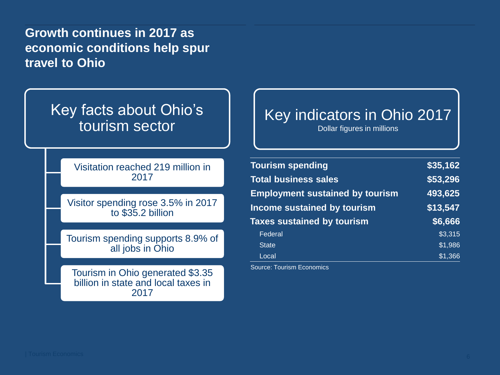**Growth continues in 2017 as economic conditions help spur travel to Ohio**

# Key facts about Ohio's tourism sector

Visitation reached 219 million in 2017

Visitor spending rose 3.5% in 2017 to \$35.2 billion

Tourism spending supports 8.9% of all jobs in Ohio

Tourism in Ohio generated \$3.35 billion in state and local taxes in 2017

# Key indicators in Ohio 2017

Dollar figures in millions

| <b>Tourism spending</b>                | \$35,162 |
|----------------------------------------|----------|
| <b>Total business sales</b>            | \$53,296 |
| <b>Employment sustained by tourism</b> | 493,625  |
| Income sustained by tourism            | \$13,547 |
| <b>Taxes sustained by tourism</b>      | \$6,666  |
| Federal                                | \$3,315  |
| <b>State</b>                           | 51,986   |
| Local                                  | \$1,366  |

Source: Tourism Economics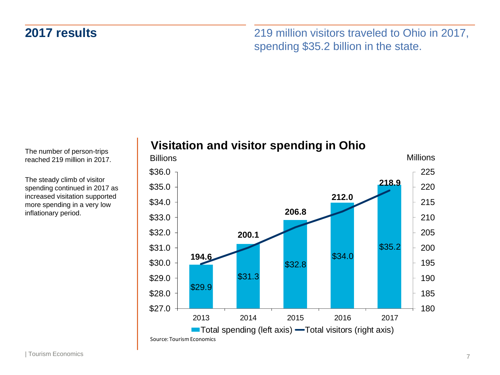### **2017 results**

219 million visitors traveled to Ohio in 2017, spending \$35.2 billion in the state.

The number of person-trips reached 219 million in 2017.

The steady climb of visitor spending continued in 2017 as increased visitation supported more spending in a very low inflationary period.

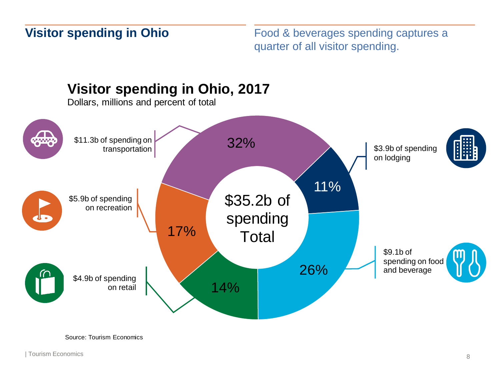### **Visitor spending in Ohio**

Food & beverages spending captures a quarter of all visitor spending.



Source: Tourism Economics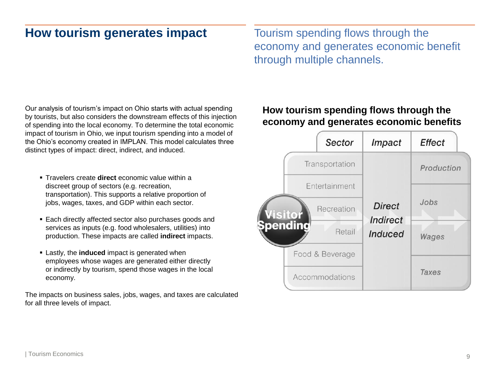### **How tourism generates impact**

Tourism spending flows through the economy and generates economic benefit through multiple channels.

Our analysis of tourism's impact on Ohio starts with actual spending by tourists, but also considers the downstream effects of this injection of spending into the local economy. To determine the total economic impact of tourism in Ohio, we input tourism spending into a model of the Ohio's economy created in IMPLAN. This model calculates three distinct types of impact: direct, indirect, and induced.

- Travelers create **direct** economic value within a discreet group of sectors (e.g. recreation, transportation). This supports a relative proportion of jobs, wages, taxes, and GDP within each sector.
- Each directly affected sector also purchases goods and services as inputs (e.g. food wholesalers, utilities) into production. These impacts are called **indirect** impacts.
- **Example 1** Lastly, the **induced** impact is generated when employees whose wages are generated either directly or indirectly by tourism, spend those wages in the local economy.

The impacts on business sales, jobs, wages, and taxes are calculated for all three levels of impact.

#### **How tourism spending flows through the economy and generates economic benefits**

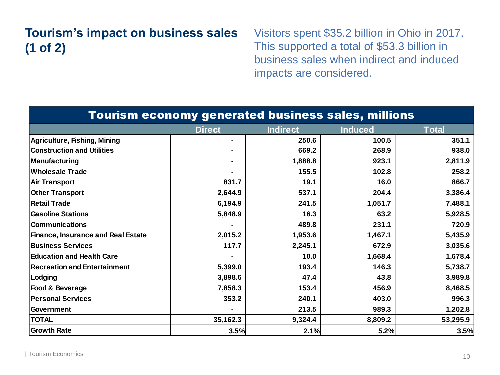#### **Tourism's impact on business sales (1 of 2)**  Visitors spent \$35.2 billion in Ohio in 2017. This supported a total of \$53.3 billion in business sales when indirect and induced impacts are considered.

| <b>Tourism economy generated business sales, millions</b> |                |                 |                |              |  |
|-----------------------------------------------------------|----------------|-----------------|----------------|--------------|--|
|                                                           | <b>Direct</b>  | <b>Indirect</b> | <b>Induced</b> | <b>Total</b> |  |
| <b>Agriculture, Fishing, Mining</b>                       |                | 250.6           | 100.5          | 351.1        |  |
| <b>Construction and Utilities</b>                         | $\blacksquare$ | 669.2           | 268.9          | 938.0        |  |
| <b>Manufacturing</b>                                      |                | 1,888.8         | 923.1          | 2,811.9      |  |
| <b>Wholesale Trade</b>                                    |                | 155.5           | 102.8          | 258.2        |  |
| <b>Air Transport</b>                                      | 831.7          | 19.1            | 16.0           | 866.7        |  |
| <b>Other Transport</b>                                    | 2,644.9        | 537.1           | 204.4          | 3,386.4      |  |
| <b>Retail Trade</b>                                       | 6,194.9        | 241.5           | 1,051.7        | 7,488.1      |  |
| <b>Gasoline Stations</b>                                  | 5,848.9        | 16.3            | 63.2           | 5,928.5      |  |
| <b>Communications</b>                                     |                | 489.8           | 231.1          | 720.9        |  |
| <b>Finance, Insurance and Real Estate</b>                 | 2,015.2        | 1,953.6         | 1,467.1        | 5,435.9      |  |
| <b>Business Services</b>                                  | 117.7          | 2,245.1         | 672.9          | 3,035.6      |  |
| <b>Education and Health Care</b>                          |                | 10.0            | 1,668.4        | 1,678.4      |  |
| <b>Recreation and Entertainment</b>                       | 5,399.0        | 193.4           | 146.3          | 5,738.7      |  |
| Lodging                                                   | 3,898.6        | 47.4            | 43.8           | 3,989.8      |  |
| Food & Beverage                                           | 7,858.3        | 153.4           | 456.9          | 8,468.5      |  |
| <b>Personal Services</b>                                  | 353.2          | 240.1           | 403.0          | 996.3        |  |
| <b>Government</b>                                         |                | 213.5           | 989.3          | 1,202.8      |  |
| <b>TOTAL</b>                                              | 35,162.3       | 9,324.4         | 8,809.2        | 53,295.9     |  |
| <b>Growth Rate</b>                                        | 3.5%           | 2.1%            | 5.2%           | 3.5%         |  |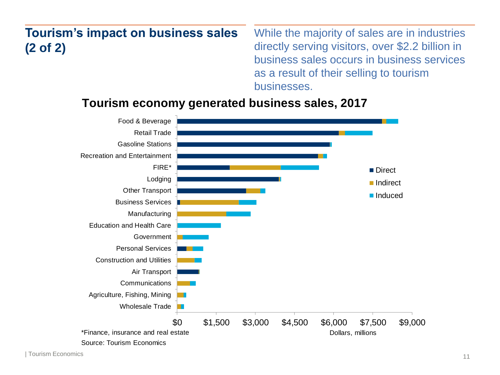#### **Tourism's impact on business sales (2 of 2)**  While the majority of sales are in industries directly serving visitors, over \$2.2 billion in business sales occurs in business services as a result of their selling to tourism businesses.

#### **Tourism economy generated business sales, 2017**



| Tourism Economics 11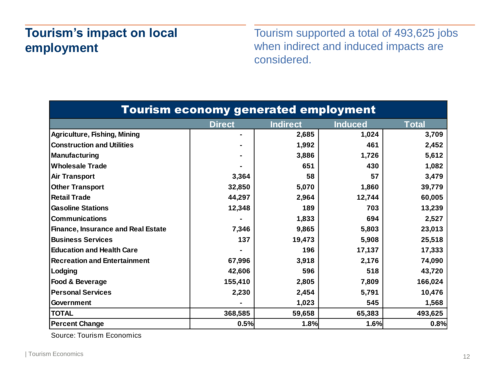## **Tourism's impact on local employment**

Tourism supported a total of 493,625 jobs when indirect and induced impacts are considered.

| <b>Tourism economy generated employment</b> |               |                 |                |              |  |
|---------------------------------------------|---------------|-----------------|----------------|--------------|--|
|                                             | <b>Direct</b> | <b>Indirect</b> | <b>Induced</b> | <b>Total</b> |  |
| Agriculture, Fishing, Mining                |               | 2,685           | 1,024          | 3,709        |  |
| <b>Construction and Utilities</b>           |               | 1,992           | 461            | 2,452        |  |
| Manufacturing                               |               | 3,886           | 1,726          | 5,612        |  |
| <b>Wholesale Trade</b>                      |               | 651             | 430            | 1,082        |  |
| <b>Air Transport</b>                        | 3,364         | 58              | 57             | 3,479        |  |
| <b>Other Transport</b>                      | 32,850        | 5,070           | 1,860          | 39,779       |  |
| Retail Trade                                | 44,297        | 2,964           | 12,744         | 60,005       |  |
| <b>Gasoline Stations</b>                    | 12,348        | 189             | 703            | 13,239       |  |
| <b>Communications</b>                       |               | 1,833           | 694            | 2,527        |  |
| <b>Finance, Insurance and Real Estate</b>   | 7,346         | 9,865           | 5,803          | 23,013       |  |
| <b>Business Services</b>                    | 137           | 19,473          | 5,908          | 25,518       |  |
| <b>Education and Health Care</b>            |               | 196             | 17,137         | 17,333       |  |
| <b>Recreation and Entertainment</b>         | 67,996        | 3,918           | 2,176          | 74,090       |  |
| Lodging                                     | 42,606        | 596             | 518            | 43,720       |  |
| Food & Beverage                             | 155,410       | 2,805           | 7,809          | 166,024      |  |
| <b>Personal Services</b>                    | 2,230         | 2,454           | 5,791          | 10,476       |  |
| Government                                  |               | 1,023           | 545            | 1,568        |  |
| <b>TOTAL</b>                                | 368,585       | 59,658          | 65,383         | 493,625      |  |
| <b>Percent Change</b>                       | 0.5%          | 1.8%            | 1.6%           | 0.8%         |  |

Source: Tourism Economics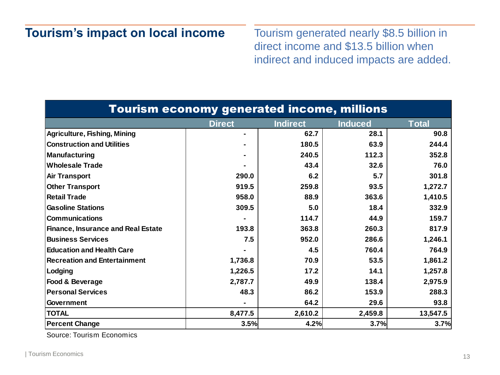### **Tourism's impact on local income**

Tourism generated nearly \$8.5 billion in direct income and \$13.5 billion when indirect and induced impacts are added.

| <b>Tourism economy generated income, millions</b> |               |                 |                |              |  |  |
|---------------------------------------------------|---------------|-----------------|----------------|--------------|--|--|
|                                                   | <b>Direct</b> | <b>Indirect</b> | <b>Induced</b> | <b>Total</b> |  |  |
| Agriculture, Fishing, Mining                      |               | 62.7            | 28.1           | 90.8         |  |  |
| <b>Construction and Utilities</b>                 |               | 180.5           | 63.9           | 244.4        |  |  |
| Manufacturing                                     |               | 240.5           | 112.3          | 352.8        |  |  |
| <b>Wholesale Trade</b>                            |               | 43.4            | 32.6           | 76.0         |  |  |
| <b>Air Transport</b>                              | 290.0         | 6.2             | 5.7            | 301.8        |  |  |
| <b>Other Transport</b>                            | 919.5         | 259.8           | 93.5           | 1,272.7      |  |  |
| <b>Retail Trade</b>                               | 958.0         | 88.9            | 363.6          | 1,410.5      |  |  |
| <b>Gasoline Stations</b>                          | 309.5         | 5.0             | 18.4           | 332.9        |  |  |
| <b>Communications</b>                             |               | 114.7           | 44.9           | 159.7        |  |  |
| <b>Finance, Insurance and Real Estate</b>         | 193.8         | 363.8           | 260.3          | 817.9        |  |  |
| <b>Business Services</b>                          | 7.5           | 952.0           | 286.6          | 1,246.1      |  |  |
| <b>Education and Health Care</b>                  |               | 4.5             | 760.4          | 764.9        |  |  |
| <b>Recreation and Entertainment</b>               | 1,736.8       | 70.9            | 53.5           | 1,861.2      |  |  |
| Lodging                                           | 1,226.5       | 17.2            | 14.1           | 1,257.8      |  |  |
| Food & Beverage                                   | 2,787.7       | 49.9            | 138.4          | 2,975.9      |  |  |
| <b>Personal Services</b>                          | 48.3          | 86.2            | 153.9          | 288.3        |  |  |
| <b>Government</b>                                 |               | 64.2            | 29.6           | 93.8         |  |  |
| <b>TOTAL</b>                                      | 8,477.5       | 2,610.2         | 2,459.8        | 13,547.5     |  |  |
| <b>Percent Change</b>                             | 3.5%          | 4.2%            | 3.7%           | 3.7%         |  |  |

Source: Tourism Economics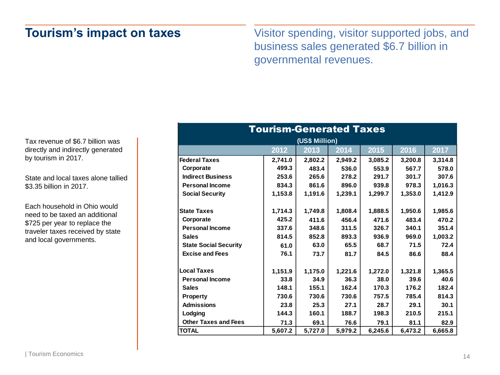### **Tourism's impact on taxes**

Visitor spending, visitor supported jobs, and business sales generated \$6.7 billion in governmental revenues.

Tax revenue of \$6.7 billion was directly and indirectly generated by tourism in 2017.

State and local taxes alone tallied \$3.35 billion in 2017.

Each household in Ohio would need to be taxed an additional \$725 per year to replace the traveler taxes received by state and local governments.

| Tourism-Gen <u>erated Taxes</u> |         |                |         |         |         |         |
|---------------------------------|---------|----------------|---------|---------|---------|---------|
|                                 |         | (US\$ Million) |         |         |         |         |
|                                 | 2012    | 2013           | 2014    | 2015    | 2016    | 2017    |
| <b>Federal Taxes</b>            | 2,741.0 | 2,802.2        | 2,949.2 | 3,085.2 | 3,200.8 | 3,314.8 |
| Corporate                       | 499.3   | 483.4          | 536.0   | 553.9   | 567.7   | 578.0   |
| <b>Indirect Business</b>        | 253.6   | 265.6          | 278.2   | 291.7   | 301.7   | 307.6   |
| <b>Personal Income</b>          | 834.3   | 861.6          | 896.0   | 939.8   | 978.3   | 1,016.3 |
| <b>Social Security</b>          | 1,153.8 | 1,191.6        | 1,239.1 | 1,299.7 | 1,353.0 | 1,412.9 |
| <b>State Taxes</b>              | 1,714.3 | 1,749.8        | 1,808.4 | 1,888.5 | 1,950.6 | 1,985.6 |
| Corporate                       | 425.2   | 411.6          | 456.4   | 471.6   | 483.4   | 470.2   |
| <b>Personal Income</b>          | 337.6   | 348.6          | 311.5   | 326.7   | 340.1   | 351.4   |
| <b>Sales</b>                    | 814.5   | 852.8          | 893.3   | 936.9   | 969.0   | 1,003.2 |
| <b>State Social Security</b>    | 61.0    | 63.0           | 65.5    | 68.7    | 71.5    | 72.4    |
| <b>Excise and Fees</b>          | 76.1    | 73.7           | 81.7    | 84.5    | 86.6    | 88.4    |
| <b>Local Taxes</b>              | 1,151.9 | 1,175.0        | 1,221.6 | 1,272.0 | 1,321.8 | 1,365.5 |
| <b>Personal Income</b>          | 33.8    | 34.9           | 36.3    | 38.0    | 39.6    | 40.6    |
| <b>Sales</b>                    | 148.1   | 155.1          | 162.4   | 170.3   | 176.2   | 182.4   |
| Property                        | 730.6   | 730.6          | 730.6   | 757.5   | 785.4   | 814.3   |
| <b>Admissions</b>               | 23.8    | 25.3           | 27.1    | 28.7    | 29.1    | 30.1    |
| Lodging                         | 144.3   | 160.1          | 188.7   | 198.3   | 210.5   | 215.1   |
| <b>Other Taxes and Fees</b>     | 71.3    | 69.1           | 76.6    | 79.1    | 81.1    | 82.9    |
| <b>TOTAL</b>                    | 5,607.2 | 5,727.0        | 5,979.2 | 6,245.6 | 6,473.2 | 6,665.8 |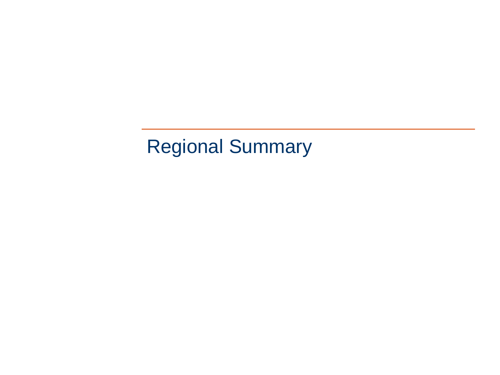# Regional Summary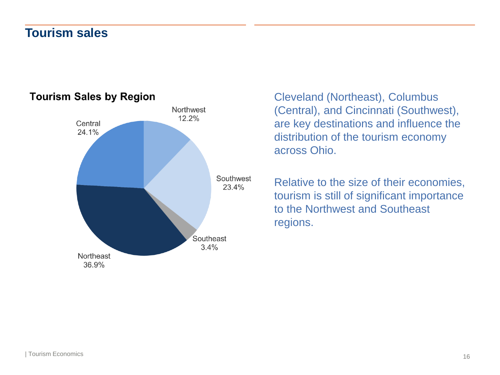### **Tourism sales**



#### **Tourism Sales by Region**

Cleveland (Northeast), Columbus (Central), and Cincinnati (Southwest), are key destinations and influence the distribution of the tourism economy across Ohio.

Relative to the size of their economies, tourism is still of significant importance to the Northwest and Southeast regions.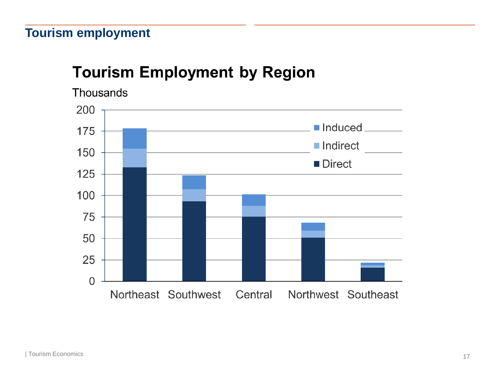# **Tourism Employment by Region**

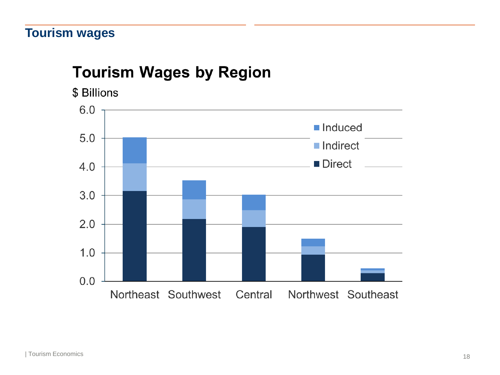## **Tourism wages**

# **Tourism Wages by Region**

\$ Billions

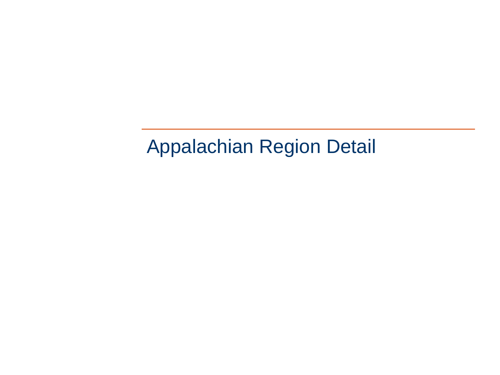# Appalachian Region Detail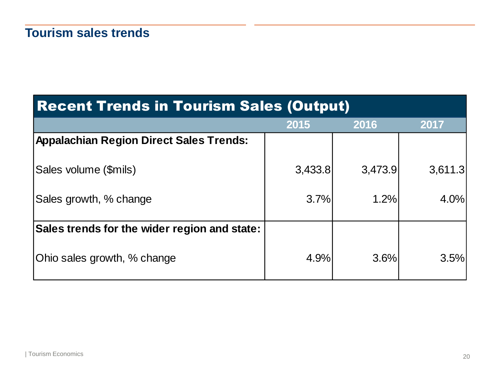# Recent Trends in Tourism Sales (Output)

|                                                | 2015    | 2016    | 2017    |
|------------------------------------------------|---------|---------|---------|
| <b>Appalachian Region Direct Sales Trends:</b> |         |         |         |
| Sales volume (\$mils)                          | 3,433.8 | 3,473.9 | 3,611.3 |
| Sales growth, % change                         | 3.7%    | 1.2%    | 4.0%    |
| Sales trends for the wider region and state:   |         |         |         |
| Ohio sales growth, % change                    | 4.9%    | 3.6%    | 3.5%    |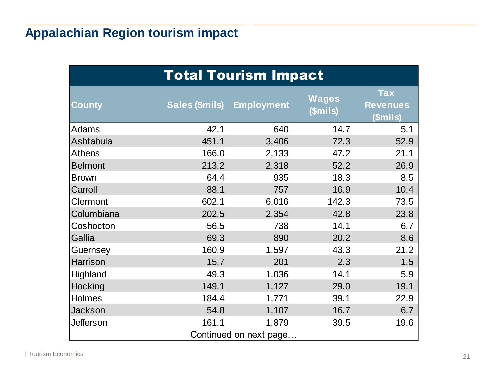# **Appalachian Region tourism impact**

| <b>Total Tourism Impact</b> |                       |                        |                   |                                           |  |  |
|-----------------------------|-----------------------|------------------------|-------------------|-------------------------------------------|--|--|
| <b>County</b>               | <b>Sales (\$mils)</b> | <b>Employment</b>      | Wages<br>(\$mils) | <b>Tax</b><br><b>Revenues</b><br>(\$mils) |  |  |
| Adams                       | 42.1                  | 640                    | 14.7              | 5.1                                       |  |  |
| Ashtabula                   | 451.1                 | 3,406                  | 72.3              | 52.9                                      |  |  |
| <b>Athens</b>               | 166.0                 | 2,133                  | 47.2              | 21.1                                      |  |  |
| <b>Belmont</b>              | 213.2                 | 2,318                  | 52.2              | 26.9                                      |  |  |
| <b>Brown</b>                | 64.4                  | 935                    | 18.3              | 8.5                                       |  |  |
| Carroll                     | 88.1                  | 757                    | 16.9              | 10.4                                      |  |  |
| Clermont                    | 602.1                 | 6,016                  | 142.3             | 73.5                                      |  |  |
| Columbiana                  | 202.5                 | 2,354                  | 42.8              | 23.8                                      |  |  |
| Coshocton                   | 56.5                  | 738                    | 14.1              | 6.7                                       |  |  |
| Gallia                      | 69.3                  | 890                    | 20.2              | 8.6                                       |  |  |
| Guernsey                    | 160.9                 | 1,597                  | 43.3              | 21.2                                      |  |  |
| Harrison                    | 15.7                  | 201                    | 2.3               | 1.5                                       |  |  |
| Highland                    | 49.3                  | 1,036                  | 14.1              | 5.9                                       |  |  |
| Hocking                     | 149.1                 | 1,127                  | 29.0              | 19.1                                      |  |  |
| Holmes                      | 184.4                 | 1,771                  | 39.1              | 22.9                                      |  |  |
| Jackson                     | 54.8                  | 1,107                  | 16.7              | 6.7                                       |  |  |
| <b>Jefferson</b>            | 161.1                 | 1,879                  | 39.5              | 19.6                                      |  |  |
|                             |                       | Continued on next page |                   |                                           |  |  |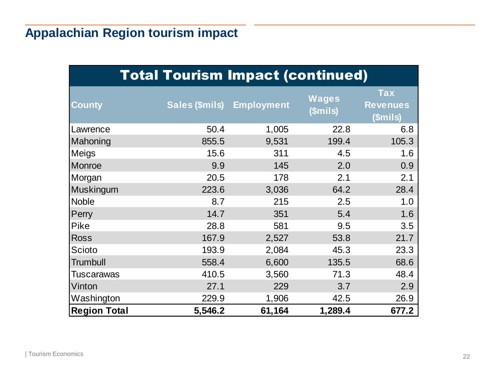# **Appalachian Region tourism impact**

| <b>Total Tourism Impact (continued)</b> |                       |                   |                          |                                           |  |  |
|-----------------------------------------|-----------------------|-------------------|--------------------------|-------------------------------------------|--|--|
| <b>County</b>                           | <b>Sales (\$mils)</b> | <b>Employment</b> | <b>Wages</b><br>(\$mils) | <b>Tax</b><br><b>Revenues</b><br>(\$mils) |  |  |
| Lawrence                                | 50.4                  | 1,005             | 22.8                     | 6.8                                       |  |  |
| Mahoning                                | 855.5                 | 9,531             | 199.4                    | 105.3                                     |  |  |
| Meigs                                   | 15.6                  | 311               | 4.5                      | 1.6                                       |  |  |
| Monroe                                  | 9.9                   | 145               | 2.0                      | 0.9                                       |  |  |
| Morgan                                  | 20.5                  | 178               | 2.1                      | 2.1                                       |  |  |
| Muskingum                               | 223.6                 | 3,036             | 64.2                     | 28.4                                      |  |  |
| <b>Noble</b>                            | 8.7                   | 215               | 2.5                      | 1.0                                       |  |  |
| Perry                                   | 14.7                  | 351               | 5.4                      | 1.6                                       |  |  |
| <b>Pike</b>                             | 28.8                  | 581               | 9.5                      | 3.5                                       |  |  |
| <b>Ross</b>                             | 167.9                 | 2,527             | 53.8                     | 21.7                                      |  |  |
| Scioto                                  | 193.9                 | 2,084             | 45.3                     | 23.3                                      |  |  |
| <b>Trumbull</b>                         | 558.4                 | 6,600             | 135.5                    | 68.6                                      |  |  |
| Tuscarawas                              | 410.5                 | 3,560             | 71.3                     | 48.4                                      |  |  |
| Vinton                                  | 27.1                  | 229               | 3.7                      | 2.9                                       |  |  |
| Washington                              | 229.9                 | 1,906             | 42.5                     | 26.9                                      |  |  |
| <b>Region Total</b>                     | 5,546.2               | 61,164            | 1,289.4                  | 677.2                                     |  |  |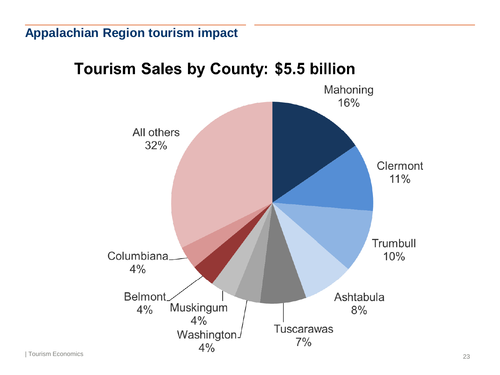### **Appalachian Region tourism impact**

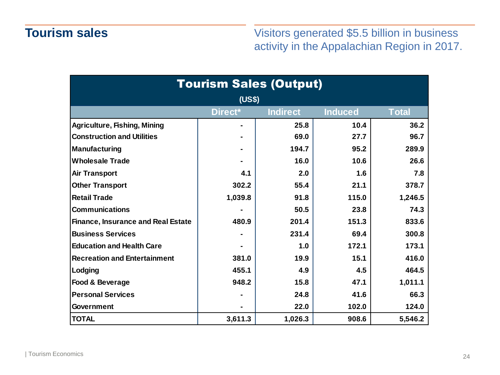## **Tourism sales**

Visitors generated \$5.5 billion in business activity in the Appalachian Region in 2017.

| <b>Tourism Sales (Output)</b>                                |         |         |       |         |  |  |  |  |
|--------------------------------------------------------------|---------|---------|-------|---------|--|--|--|--|
| (US\$)                                                       |         |         |       |         |  |  |  |  |
| Direct*<br><b>Indirect</b><br><b>Induced</b><br><b>Total</b> |         |         |       |         |  |  |  |  |
| <b>Agriculture, Fishing, Mining</b>                          |         | 25.8    | 10.4  | 36.2    |  |  |  |  |
| <b>Construction and Utilities</b>                            |         | 69.0    | 27.7  | 96.7    |  |  |  |  |
| <b>Manufacturing</b>                                         |         | 194.7   | 95.2  | 289.9   |  |  |  |  |
| <b>Wholesale Trade</b>                                       |         | 16.0    | 10.6  | 26.6    |  |  |  |  |
| <b>Air Transport</b>                                         | 4.1     | 2.0     | 1.6   | 7.8     |  |  |  |  |
| <b>Other Transport</b>                                       | 302.2   | 55.4    | 21.1  | 378.7   |  |  |  |  |
| <b>Retail Trade</b>                                          | 1,039.8 | 91.8    | 115.0 | 1,246.5 |  |  |  |  |
| <b>Communications</b>                                        |         | 50.5    | 23.8  | 74.3    |  |  |  |  |
| <b>Finance, Insurance and Real Estate</b>                    | 480.9   | 201.4   | 151.3 | 833.6   |  |  |  |  |
| <b>Business Services</b>                                     |         | 231.4   | 69.4  | 300.8   |  |  |  |  |
| <b>Education and Health Care</b>                             |         | 1.0     | 172.1 | 173.1   |  |  |  |  |
| <b>Recreation and Entertainment</b>                          | 381.0   | 19.9    | 15.1  | 416.0   |  |  |  |  |
| Lodging                                                      | 455.1   | 4.9     | 4.5   | 464.5   |  |  |  |  |
| Food & Beverage                                              | 948.2   | 15.8    | 47.1  | 1,011.1 |  |  |  |  |
| <b>Personal Services</b>                                     |         | 24.8    | 41.6  | 66.3    |  |  |  |  |
| <b>Government</b>                                            |         | 22.0    | 102.0 | 124.0   |  |  |  |  |
| <b>TOTAL</b>                                                 | 3,611.3 | 1,026.3 | 908.6 | 5,546.2 |  |  |  |  |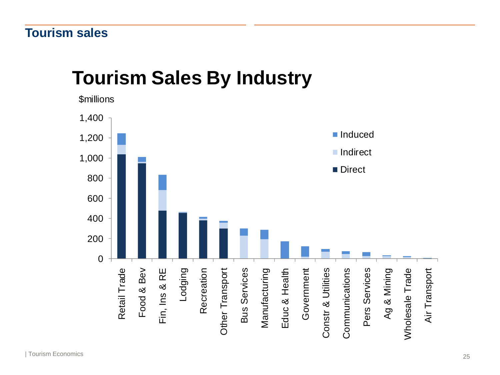# **Tourism Sales By Industry**

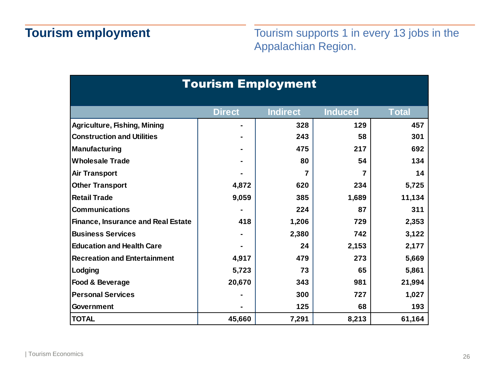Tourism supports 1 in every 13 jobs in the Appalachian Region.

| <b>Tourism Employment</b>                 |               |                 |                |              |  |  |
|-------------------------------------------|---------------|-----------------|----------------|--------------|--|--|
|                                           | <b>Direct</b> | <b>Indirect</b> | <b>Induced</b> | <b>Total</b> |  |  |
| <b>Agriculture, Fishing, Mining</b>       |               | 328             | 129            | 457          |  |  |
| <b>Construction and Utilities</b>         |               | 243             | 58             | 301          |  |  |
| <b>Manufacturing</b>                      |               | 475             | 217            | 692          |  |  |
| <b>Wholesale Trade</b>                    |               | 80              | 54             | 134          |  |  |
| <b>Air Transport</b>                      |               |                 |                | 14           |  |  |
| <b>Other Transport</b>                    | 4,872         | 620             | 234            | 5,725        |  |  |
| <b>Retail Trade</b>                       | 9,059         | 385             | 1,689          | 11,134       |  |  |
| <b>Communications</b>                     |               | 224             | 87             | 311          |  |  |
| <b>Finance, Insurance and Real Estate</b> | 418           | 1,206           | 729            | 2,353        |  |  |
| <b>Business Services</b>                  |               | 2,380           | 742            | 3,122        |  |  |
| <b>Education and Health Care</b>          |               | 24              | 2,153          | 2,177        |  |  |
| <b>Recreation and Entertainment</b>       | 4,917         | 479             | 273            | 5,669        |  |  |
| Lodging                                   | 5,723         | 73              | 65             | 5,861        |  |  |
| Food & Beverage                           | 20,670        | 343             | 981            | 21,994       |  |  |
| <b>Personal Services</b>                  |               | 300             | 727            | 1,027        |  |  |
| <b>Government</b>                         |               | 125             | 68             | 193          |  |  |
| <b>TOTAL</b>                              | 45,660        | 7,291           | 8,213          | 61,164       |  |  |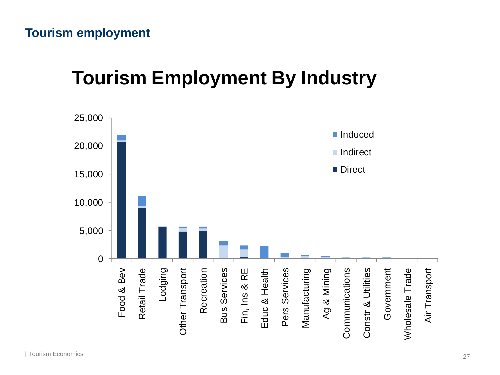# **Tourism Employment By Industry**

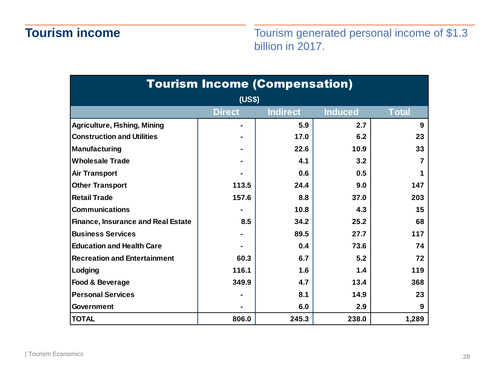## **Tourism income**

Tourism generated personal income of \$1.3 billion in 2017.

| <b>Tourism Income (Compensation)</b>                               |       |       |       |       |  |  |  |  |
|--------------------------------------------------------------------|-------|-------|-------|-------|--|--|--|--|
| (US\$)                                                             |       |       |       |       |  |  |  |  |
| <b>Direct</b><br><b>Indirect</b><br><b>Induced</b><br><b>Total</b> |       |       |       |       |  |  |  |  |
| <b>Agriculture, Fishing, Mining</b>                                |       | 5.9   | 2.7   | 9     |  |  |  |  |
| <b>Construction and Utilities</b>                                  |       | 17.0  | 6.2   | 23    |  |  |  |  |
| <b>Manufacturing</b>                                               |       | 22.6  | 10.9  | 33    |  |  |  |  |
| <b>Wholesale Trade</b>                                             |       | 4.1   | 3.2   |       |  |  |  |  |
| <b>Air Transport</b>                                               |       | 0.6   | 0.5   |       |  |  |  |  |
| <b>Other Transport</b>                                             | 113.5 | 24.4  | 9.0   | 147   |  |  |  |  |
| <b>Retail Trade</b>                                                | 157.6 | 8.8   | 37.0  | 203   |  |  |  |  |
| <b>Communications</b>                                              |       | 10.8  | 4.3   | 15    |  |  |  |  |
| <b>Finance, Insurance and Real Estate</b>                          | 8.5   | 34.2  | 25.2  | 68    |  |  |  |  |
| <b>Business Services</b>                                           |       | 89.5  | 27.7  | 117   |  |  |  |  |
| <b>Education and Health Care</b>                                   |       | 0.4   | 73.6  | 74    |  |  |  |  |
| <b>Recreation and Entertainment</b>                                | 60.3  | 6.7   | 5.2   | 72    |  |  |  |  |
| Lodging                                                            | 116.1 | 1.6   | 1.4   | 119   |  |  |  |  |
| Food & Beverage                                                    | 349.9 | 4.7   | 13.4  | 368   |  |  |  |  |
| <b>Personal Services</b>                                           |       | 8.1   | 14.9  | 23    |  |  |  |  |
| <b>Government</b>                                                  |       | 6.0   | 2.9   | 9     |  |  |  |  |
| <b>TOTAL</b>                                                       | 806.0 | 245.3 | 238.0 | 1,289 |  |  |  |  |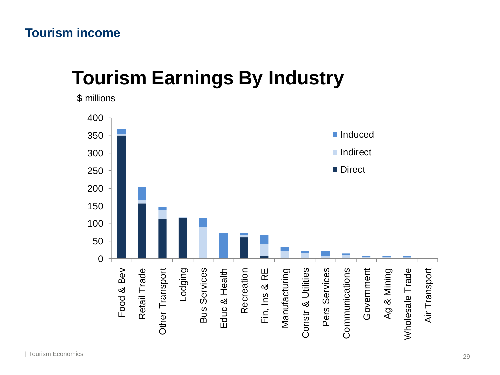# **Tourism Earnings By Industry**

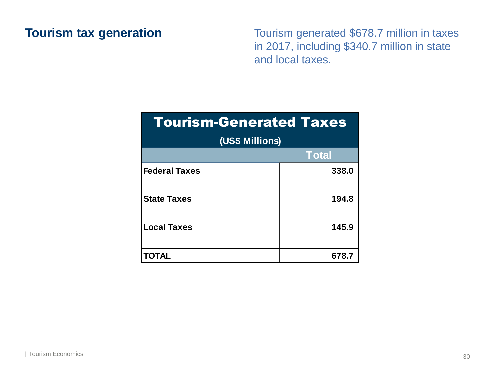### **Tourism tax generation**

Tourism generated \$678.7 million in taxes in 2017, including \$340.7 million in state and local taxes.

| <b>Tourism-Generated Taxes</b> |              |
|--------------------------------|--------------|
| (US\$ Millions)                |              |
|                                | <b>Total</b> |
| <b>Federal Taxes</b>           | 338.0        |
| <b>State Taxes</b>             | 194.8        |
| <b>Local Taxes</b>             | 145.9        |
|                                | 678.7        |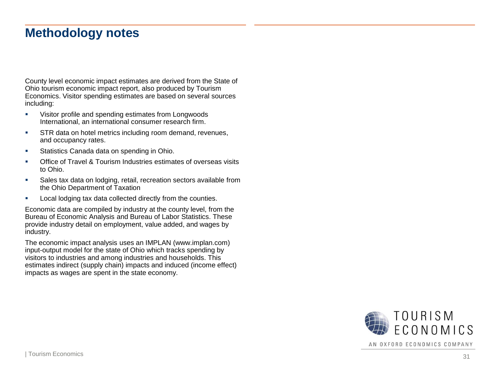#### **Methodology notes**

County level economic impact estimates are derived from the State of Ohio tourism economic impact report, also produced by Tourism Economics. Visitor spending estimates are based on several sources including:

- Visitor profile and spending estimates from Longwoods International, an international consumer research firm.
- **STR data on hotel metrics including room demand, revenues,** and occupancy rates.
- **EXEC** Statistics Canada data on spending in Ohio.
- Office of Travel & Tourism Industries estimates of overseas visits to Ohio.
- **EXEDENT** Sales tax data on lodging, retail, recreation sectors available from the Ohio Department of Taxation
- Local lodging tax data collected directly from the counties.

Economic data are compiled by industry at the county level, from the Bureau of Economic Analysis and Bureau of Labor Statistics. These provide industry detail on employment, value added, and wages by industry.

The economic impact analysis uses an IMPLAN (www.implan.com) input -output model for the state of Ohio which tracks spending by visitors to industries and among industries and households. This estimates indirect (supply chain) impacts and induced (income effect) impacts as wages are spent in the state economy.